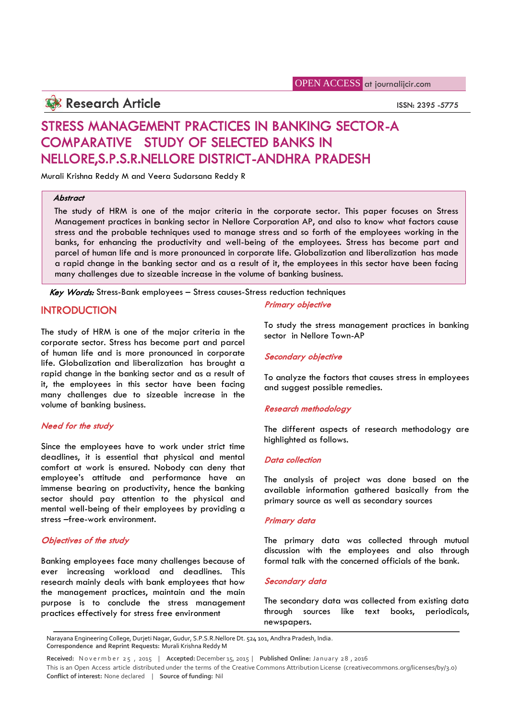# **Research Article ISSN: 2395 -5775**

# **STRESS MANAGEMENT PRACTICES IN BANKING SECTOR-A COMPARATIVE STUDY OF SELECTED BANKS IN NELLORE,S.P.S.R.NELLORE DISTRICT-ANDHRA PRADESH**

Murali Krishna Reddy M and Veera Sudarsana Reddy R

# *Abstract*

The study of HRM is one of the major criteria in the corporate sector. This paper focuses on Stress Management practices in banking sector in Nellore Corporation AP, and also to know what factors cause stress and the probable techniques used to manage stress and so forth of the employees working in the banks, for enhancing the productivity and well-being of the employees. Stress has become part and parcel of human life and is more pronounced in corporate life. Globalization and liberalization has made a rapid change in the banking sector and as a result of it, the employees in this sector have been facing many challenges due to sizeable increase in the volume of banking business.

*Key Words:* Stress-Bank employees – Stress causes-Stress reduction techniques

# **INTRODUCTION**

The study of HRM is one of the major criteria in the corporate sector. Stress has become part and parcel of human life and is more pronounced in corporate life. Globalization and liberalization has brought a rapid change in the banking sector and as a result of it, the employees in this sector have been facing many challenges due to sizeable increase in the volume of banking business.

# *Need for the study*

Since the employees have to work under strict time deadlines, it is essential that physical and mental comfort at work is ensured. Nobody can deny that employee's attitude and performance have an immense bearing on productivity, hence the banking sector should pay attention to the physical and mental well-being of their employees by providing a stress –free-work environment.

# *Objectives of the study*

Banking employees face many challenges because of ever increasing workload and deadlines. This research mainly deals with bank employees that how the management practices, maintain and the main purpose is to conclude the stress management practices effectively for stress free environment

# *Primary objective*

To study the stress management practices in banking sector in Nellore Town-AP

# *Secondary objective*

To analyze the factors that causes stress in employees and suggest possible remedies.

# *Research methodology*

The different aspects of research methodology are highlighted as follows.

## *Data collection*

The analysis of project was done based on the available information gathered basically from the primary source as well as secondary sources

## *Primary data*

The primary data was collected through mutual discussion with the employees and also through formal talk with the concerned officials of the bank.

## *Secondary data*

The secondary data was collected from existing data through sources like text books, periodicals, newspapers.

Narayana Engineering College, Durjeti Nagar, Gudur, S.P.S.R.Nellore Dt. 524 101, Andhra Pradesh, India. **Correspondence and Reprint Requests:** Murali Krishna Reddy M newspapers.<br>
Narayana Engineering College, Durjeti Nagar, Gudur, S.P.S.R.Nellore Dt. 524 101, Andhra Pradesh, India.<br>
Correspondence and Reprint Requests: Murali Krishna Reddy M<br>
Received: Nover mber 25, 2015 | Accepted: D

**Conflict of interest:** None declared | **Source of funding:** Nil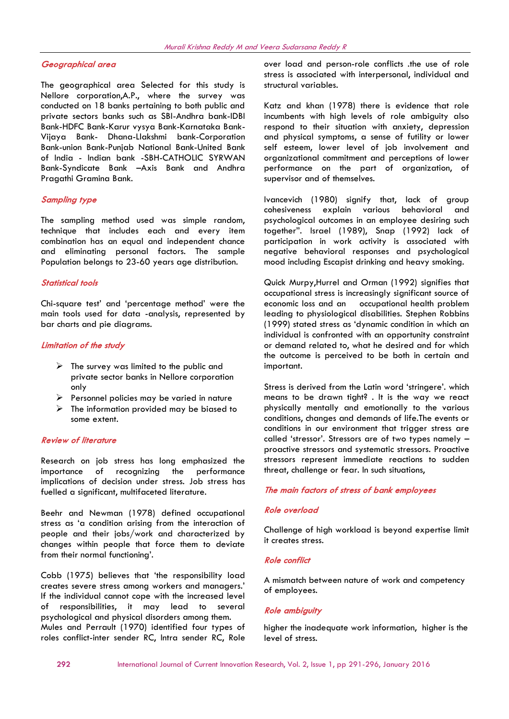# *Geographical area*

The geographical area Selected for this study is Nellore corporation,A.P., where the survey was conducted on 18 banks pertaining to both public and private sectors banks such as SBI-Andhra bank-IDBI Bank-HDFC Bank-Karur vysya Bank-Karnataka Bank- Vijaya Bank- Dhana-Llakshmi bank-Corporation Bank-union Bank-Punjab National Bank-United Bank of India - Indian bank -SBH-CATHOLIC SYRWAN Bank-Syndicate Bank –Axis Bank and Andhra Pragathi Gramina Bank.

# *Sampling type*

The sampling method used was simple random, technique that includes each and every item combination has an equal and independent chance and eliminating personal factors. The sample Population belongs to 23-60 years age distribution.

## *Statistical tools*

Chi-square test' and 'percentage method' were the main tools used for data -analysis, represented by bar charts and pie diagrams.

# *Limitation of the study*

- $\triangleright$  The survey was limited to the public and private sector banks in Nellore corporation only
- $\triangleright$  Personnel policies may be varied in nature
- $\triangleright$  The information provided may be biased to some extent.

# *Review of literature*

Research on job stress has long emphasized the importance of recognizing the performance implications of decision under stress. Job stress has fuelled a significant, multifaceted literature.

Beehr and Newman (1978) defined occupational stress as 'a condition arising from the interaction of people and their jobs/work and characterized by changes within people that force them to deviate from their normal functioning'.

Cobb (1975) believes that 'the responsibility load creates severe stress among workers and managers.' If the individual cannot cope with the increased level of responsibilities, it may lead to several psychological and physical disorders among them. Mules and Perrault (1970) identified four types of roles conflict-inter sender RC, Intra sender RC, Role over load and person-role conflicts .the use of role stress is associated with interpersonal, individual and structural variables.

Katz and khan (1978) there is evidence that role incumbents with high levels of role ambiguity also respond to their situation with anxiety, depression and physical symptoms, a sense of futility or lower self esteem, lower level of job involvement and organizational commitment and perceptions of lower performance on the part of organization, of supervisor and of themselves.

Ivancevich (1980) signify that, lack of group cohesiveness explain various behavioral and psychological outcomes in an employee desiring such together". Israel (1989), Snap (1992) lack of participation in work activity is associated with negative behavioral responses and psychological mood including Escapist drinking and heavy smoking.

Quick Murpy,Hurrel and Orman (1992) signifies that occupational stress is increasingly significant source of occupational health problem leading to physiological disabilities. Stephen Robbins (1999) stated stress as 'dynamic condition in which an individual is confronted with an opportunity constraint or demand related to, what he desired and for which the outcome is perceived to be both in certain and important.

Stress is derived from the Latin word 'stringere'. which means to be drawn tight? . It is the way we react physically mentally and emotionally to the various conditions, changes and demands of life.The events or conditions in our environment that trigger stress are called 'stressor'. Stressors are of two types namely – proactive stressors and systematic stressors. Proactive stressors represent immediate reactions to sudden threat, challenge or fear. In such situations,

# *The main factors of stress of bank employees*

# *Role overload*

Challenge of high workload is beyond expertise limit it creates stress.

# *Role conflict*

A mismatch between nature of work and competency of employees.

# *Role ambiguity*

higher the inadequate work information, higher is the level of stress.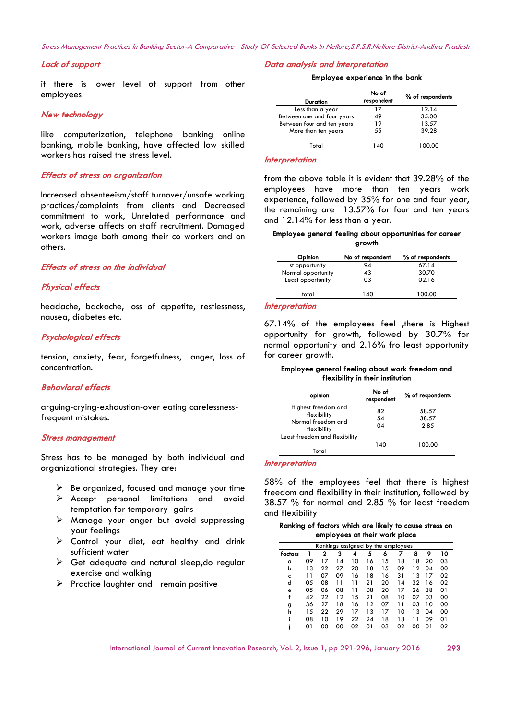## *Stress Management Practices In Banking Sector-A Comparative Study Of Selected Banks In Nellore,S.P.S.R.Nellore District-Andhra Pradesh*

## *Lack of support*

if there is lower level of support from other employees

#### *New technology*

like computerization, telephone banking online banking, mobile banking, have affected low skilled workers has raised the stress level.

#### *Effects of stress on organization*

Increased absenteeism/staff turnover/unsafe working practices/complaints from clients and Decreased commitment to work, Unrelated performance and work, adverse affects on staff recruitment. Damaged workers image both among their co workers and on others.

# *Effects of stress on the individual*

# *Physical effects*

headache, backache, loss of appetite, restlessness, nausea, diabetes etc.

## *Psychological effects*

tension, anxiety, fear, forgetfulness, anger, loss of concentration.

# *Behavioral effects*

arguing-crying-exhaustion-over eating carelessnessfrequent mistakes.

#### *Stress management*

Stress has to be managed by both individual and organizational strategies. They are:

- $\triangleright$  Be organized, focused and manage your time
- Accept personal limitations and avoid temptation for temporary gains
- $\triangleright$  Manage your anger but avoid suppressing your feelings
- Control your diet, eat healthy and drink sufficient water
- $\triangleright$  Get adequate and natural sleep, do regular exercise and walking
- $\triangleright$  Practice laughter and remain positive

#### *Data analysis and interpretation*

### **Employee experience in the bank**

| Duration                   | No of<br>respondent | % of respondents |
|----------------------------|---------------------|------------------|
| Less than a year           | 17                  | 12.14            |
| Between one and four years | 49                  | 35.00            |
| Between four and ten years | 19                  | 13.57            |
| More than ten years        | 55                  | 39.28            |
| Total                      | 140                 | 100.00           |

#### *Interpretation*

from the above table it is evident that 39.28% of the employees have more than ten years work experience, followed by 35% for one and four year, the remaining are 13.57% for four and ten years and 12.14% for less than a year.

#### **Employee general feeling about opportunities for career growth**

| Opinion            | No of respondent | % of respondents |
|--------------------|------------------|------------------|
| st opportunity     | 94               | 67.14            |
| Normal opportunity | 43               | 30.70            |
| Least opportunity  | 03               | 02.16            |
| total              | 140              | 100.00           |

#### *Interpretation*

67.14% of the employees feel ,there is Highest opportunity for growth, followed by 30.7% for normal opportunity and 2.16% fro least opportunity for career growth.

# **Employee general feeling about work freedom and flexibility in their institution**

| opinion                                                                 | No of<br>respondent | % of respondents       |
|-------------------------------------------------------------------------|---------------------|------------------------|
| Highest freedom and<br>flexibility<br>Normal freedom and<br>flexibility | 82<br>54<br>04      | 58.57<br>38.57<br>2.85 |
| Least freedom and flexibility                                           |                     |                        |
| Total                                                                   | 140                 | 100.00                 |

#### *Interpretation*

58% of the employees feel that there is highest freedom and flexibility in their institution, followed by 38.57 % for normal and 2.85 % for least freedom and flexibility

## **Ranking of factors which are likely to cause stress on employees at their work place**

| Rankings assigned by the employees |    |    |    |    |    |    |    |    |    |    |
|------------------------------------|----|----|----|----|----|----|----|----|----|----|
| factors                            |    | 2  | 3  | 4  | 5  | 6  |    | 8  | 9  | 10 |
| a                                  | 09 | 17 | 14 | 10 | 16 | 15 | 18 | 18 | 20 | 03 |
| b                                  | 13 | 22 | 27 | 20 | 18 | 15 | 09 | 12 | 04 | 00 |
| c                                  | 11 | 07 | 09 | 16 | 18 | 16 | 31 | 13 | 17 | 02 |
| d                                  | 05 | 08 | 11 | 11 | 21 | 20 | 14 | 32 | 16 | 02 |
| e                                  | 05 | 06 | 08 | 11 | 08 | 20 | 17 | 26 | 38 | 01 |
| f                                  | 42 | 22 | 12 | 15 | 21 | 08 | 10 | 07 | 03 | 00 |
| g                                  | 36 | 27 | 18 | 16 | 12 | 07 | 11 | 03 | 10 | 00 |
| h                                  | 15 | 22 | 29 | 17 | 13 | 17 | 10 | 13 | 04 | 00 |
|                                    | 08 | 10 | 19 | 22 | 24 | 18 | 13 |    | 09 | 01 |
|                                    | 01 | 00 | 00 | 02 | 01 | 03 | 02 | 00 | 01 | 02 |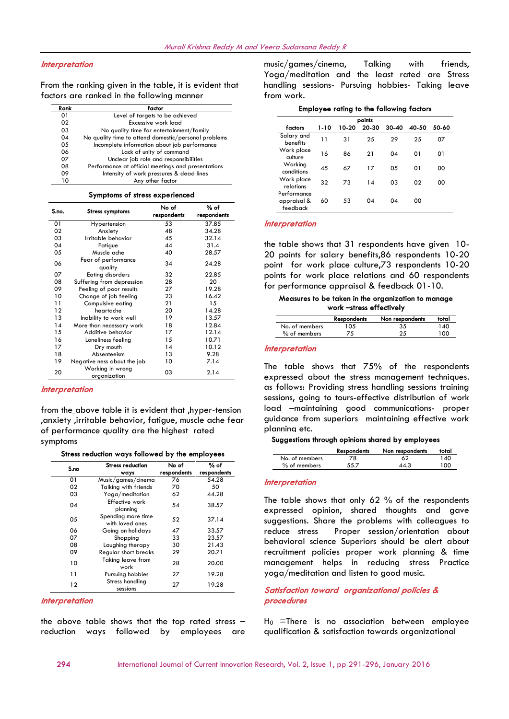## *Interpretation*

From the ranking given in the table, it is evident that factors are ranked in the following manner

| Rank | factor                                               |
|------|------------------------------------------------------|
| 01   | Level of targets to be achieved                      |
| 02   | Excessive work load                                  |
| 03   | No quality time for entertainment/family             |
| 04   | No quality time to attend domestic/personal problems |
| 05   | Incomplete information about job performance         |
| 06   | Lack of unity of command                             |
| 07   | Unclear job role and responsibilities                |
| 08   | Performance at official meetings and presentations   |
| 09   | Intensity of work pressures & dead lines             |
| 10   | Any other factor                                     |

#### **Symptoms of stress experienced**

| S.no. | <b>Stress symptoms</b>           | No of<br>respondents | % of<br>respondents |
|-------|----------------------------------|----------------------|---------------------|
| 01    | Hypertension                     | 53                   | 37.85               |
| 02    | Anxiety                          | 48                   | 34.28               |
| 03    | Irritable behavior               | 45                   | 32.14               |
| 04    | Fatigue                          | 44                   | 31.4                |
| 05    | Muscle ache                      | 40                   | 28.57               |
| 06    | Fear of performance<br>quality   | 34                   | 24.28               |
| 07    | <b>Eating disorders</b>          | 32                   | 22.85               |
| 08    | Suffering from depression        | 28                   | 20                  |
| 09    | Feeling of poor results          | 27                   | 19.28               |
| 10    | Change of job feeling            | 23                   | 16.42               |
| 11    | Compulsive eating                | 21                   | 15                  |
| 12    | heartache                        | 20                   | 14.28               |
| 13    | Inability to work well           | 19                   | 13.57               |
| 14    | More than necessary work         | 18                   | 12.84               |
| 15    | Additive behavior                | 17                   | 12.14               |
| 16    | Loneliness feeling               | 15                   | 10.71               |
| 17    | Dry mouth                        | 14                   | 10.12               |
| 18    | Absenteeism                      | 13                   | 9.28                |
| 19    | Negative ness about the job      | 10                   | 7.14                |
| 20    | Working in wrong<br>organization | 03                   | 2.14                |

#### *Interpretation*

from the above table it is evident that ,hyper-tension ,anxiety ,irritable behavior, fatigue, muscle ache fear of performance quality are the highest rated symptoms

| S.no | <b>Stress reduction</b><br>ways       | No of<br>respondents | % of<br>respondents |
|------|---------------------------------------|----------------------|---------------------|
| 01   | Music/games/cinema                    | 76                   | 54.28               |
| 02   | <b>Talking with friends</b>           | 70                   | 50                  |
| 03   | Yoga/meditation                       | 62                   | 44.28               |
| 04   | Effective work<br>planning            | 54                   | 38.57               |
| 05   | Spending more time<br>with loved ones | 52                   | 37.14               |
| 06   | Going on holidays                     | 47                   | 33.57               |
| 07   | Shopping                              | 33                   | 23.57               |
| 08   | Laughing therapy                      | 30                   | 21.43               |
| 09   | Regular short breaks                  | 29                   | 20.71               |
| 10   | Taking leave from<br>work             | 28                   | 20.00               |
| 11   | Pursuing hobbies                      | 27                   | 19.28               |
| 12   | Stress handling<br>sessions           | 27                   | 19.28               |

### *Interpretation*

the above table shows that the top rated stress – reduction ways followed by employees are music/games/cinema, Talking with friends, Yoga/meditation and the least rated are Stress handling sessions- Pursuing hobbies- Taking leave from work.

| points                                 |      |       |       |           |       |       |
|----------------------------------------|------|-------|-------|-----------|-------|-------|
| factors                                | 1-10 | 10-20 | 20-30 | $30 - 40$ | 40-50 | 50-60 |
| Salary and<br>benefits                 | 11   | 31    | 25    | 29        | 25    | 07    |
| Work place<br>culture                  | 16   | 86    | 21    | 04        | 01    | 01    |
| Working<br>conditions                  | 45   | 67    | 17    | 05        | 01    | 00    |
| Work place<br>relations                | 32   | 73    | 14    | 03        | 02    | 00    |
| Performance<br>appraisal &<br>feedback | 60   | 53    | 04    | 04        | 00    |       |

#### *Interpretation*

the table shows that 31 respondents have given 10- 20 points for salary benefits,86 respondents 10-20 point for work place culture,73 respondents 10-20 points for work place relations and 60 respondents for performance appraisal & feedback 01-10.

## **Measures to be taken in the organization to manage work –stress effectively**

|                | <b>Respondents</b> | Non respondents | total |
|----------------|--------------------|-----------------|-------|
| No. of members | 105                | 35              | 40 ا  |
| $%$ of members |                    |                 | 100   |

#### *Interpretation*

The table shows that 75% of the respondents expressed about the stress management techniques. as follows: Providing stress handling sessions training sessions, going to tours-effective distribution of work load –maintaining good communications- proper guidance from superiors maintaining effective work planning etc.

#### **Suggestions through opinions shared by employees**

|                | <b>Respondents</b> | Non respondents | total |
|----------------|--------------------|-----------------|-------|
| No. of members | 78                 | 62              | 140   |
| $%$ of members | 55.7               | 44.3            | 100   |

## *Interpretation*

The table shows that only 62 % of the respondents expressed opinion, shared thoughts and gave suggestions. Share the problems with colleagues to reduce stress Proper session/orientation about behavioral science Superiors should be alert about recruitment policies proper work planning & time management helps in reducing stress Practice yoga/meditation and listen to good music.

# *Satisfaction toward organizational policies & procedures*

 $H_0$  =There is no association between employee qualification & satisfaction towards organizational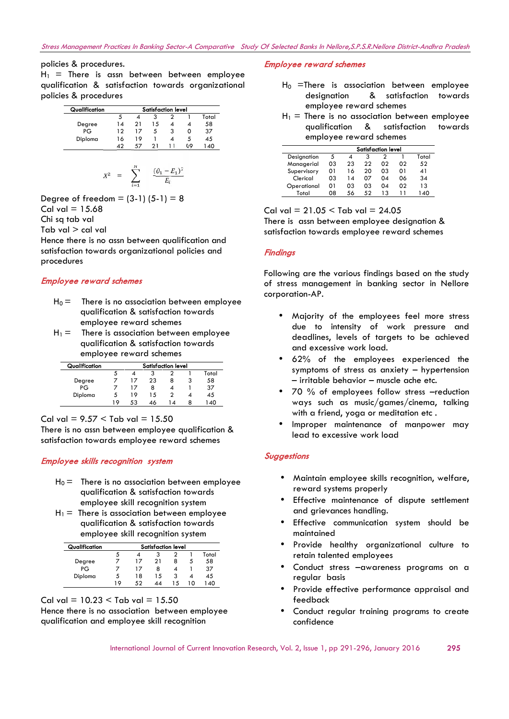# policies & procedures.

 $H_1$  = There is assn between between employee qualification & satisfaction towards organizational policies & procedures

| Qualification | Satisfaction level |    |    |   |    |       |  |
|---------------|--------------------|----|----|---|----|-------|--|
|               | 5                  |    | 3  |   |    | Total |  |
| Degree        | 14                 | 21 | 15 |   |    | 58    |  |
| PG            | 12                 | 17 | 5  | з |    | 37    |  |
| Diploma       | 16                 | 19 |    |   | 5  | 45    |  |
|               | 42                 | 57 | 21 |   | 09 | 140   |  |

$$
X^2 = \sum_{i=1}^N \frac{(0_1 - E_1)^2}{E_i}
$$

Degree of freedom = (3-1) 
$$
(5-1) = 8
$$
  
Cal val = 15.68

Chi sq tab val

Tab val > cal val

Hence there is no assn between qualification and satisfaction towards organizational policies and procedures

# *Employee reward schemes*

- $H_0 =$  There is no association between employee qualification & satisfaction towards employee reward schemes
- $H_1 =$  There is association between employee qualification & satisfaction towards employee reward schemes

| Qualification | <b>Satisfaction level</b> |    |    |    |  |       |  |
|---------------|---------------------------|----|----|----|--|-------|--|
|               |                           |    |    |    |  | Total |  |
| Degree        |                           | 17 | 23 | 8  |  | 58    |  |
| PG            |                           | 17 | 8  |    |  | 37    |  |
| Diploma       | C.                        | 19 | 15 |    |  | 45    |  |
|               | 19                        | 53 | 46 | ∣4 |  | 40    |  |

Cal val =  $9.57 <$  Tab val =  $15.50$ 

There is no assn between employee qualification & satisfaction towards employee reward schemes

# *Employee skills recognition system*

- $H_0 =$  There is no association between employee qualification & satisfaction towards employee skill recognition system
- $H_1$  = There is association between employee qualification & satisfaction towards employee skill recognition system

| Qualification | <b>Satisfaction level</b> |    |    |    |    |       |  |
|---------------|---------------------------|----|----|----|----|-------|--|
|               | 5                         |    | 3  |    |    | Total |  |
| Degree        |                           | 17 | 21 | 8  | C. | 58    |  |
| PG            |                           | 17 | 8  |    |    | 37    |  |
| Diploma       |                           | 18 | 15 |    |    | 45    |  |
|               | 19                        | よつ | 44 | 15 | ۱Λ | ⊿∩    |  |

Cal val =  $10.23 <$  Tab val =  $15.50$ Hence there is no association between employee qualification and employee skill recognition

## *Employee reward schemes*

- $H_0$  =There is association between employee designation & satisfaction towards employee reward schemes
- $H_1$  = There is no association between employee qualification & satisfaction towards employee reward schemes

|             | <b>Satisfaction level</b> |     |    |    |    |       |
|-------------|---------------------------|-----|----|----|----|-------|
| Designation | 5                         |     |    |    |    | Total |
| Managerial  | 03                        | 23  | 22 | 02 | იշ | 52    |
| Supervisory | 01                        | 16  | 20 | 03 | 01 | 41    |
| Clerical    | 03                        | 14  | 07 | 04 | 06 | 34    |
| Operational | 01                        | 03  | 03 | 04 | 02 | 13    |
| Total       | 08                        | -56 | 52 | 13 |    | 140   |

Cal val =  $21.05 <$  Tab val =  $24.05$ There is assn between employee designation & satisfaction towards employee reward schemes

# *Findings*

Following are the various findings based on the study of stress management in banking sector in Nellore corporation-AP.

- Majority of the employees feel more stress due to intensity of work pressure and deadlines, levels of targets to be achieved and excessive work load.
- 62% of the employees experienced the symptoms of stress as anxiety – hypertension – irritable behavior – muscle ache etc.
- 70 % of employees follow stress -reduction ways such as music/games/cinema, talking with a friend, yoga or meditation etc.
- Improper maintenance of manpower may lead to excessive work load

## *Suggestions*

- Maintain employee skills recognition, welfare, reward systems properly
- Effective maintenance of dispute settlement and grievances handling.
- Effective communication system should be maintained
- Provide healthy organizational culture to retain talented employees
- Conduct stress –awareness programs on a regular basis
- Provide effective performance appraisal and feedback
- Conduct regular training programs to create confidence